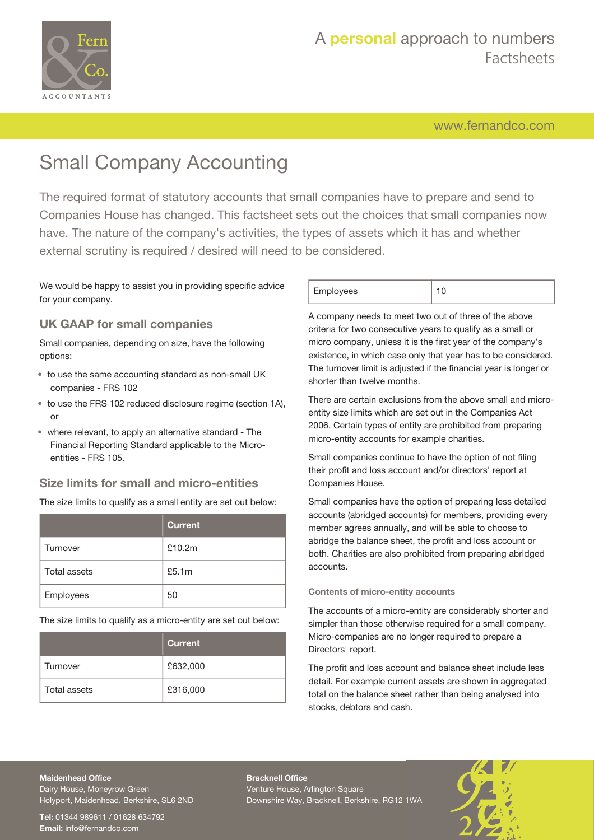

[www.fernandco.com](http://www.fernandco.com)

# Small Company Accounting

The required format of statutory accounts that small companies have to prepare and send to Companies House has changed. This factsheet sets out the choices that small companies now have. The nature of the company's activities, the types of assets which it has and whether external scrutiny is required / desired will need to be considered.

We would be happy to assist you in providing specific advice for your company.

### **UK GAAP for small companies**

Small companies, depending on size, have the following options:

- to use the same accounting standard as non-small UK companies - FRS 102
- to use the FRS 102 reduced disclosure regime (section 1A), or
- where relevant, to apply an alternative standard The Financial Reporting Standard applicable to the Microentities - FRS 105.

### **Size limits for small and micro-entities**

The size limits to qualify as a small entity are set out below:

|                     | <b>Current</b> |
|---------------------|----------------|
| Turnover            | £10.2m         |
| <b>Total assets</b> | £5.1m          |
| Employees           | 50             |

The size limits to qualify as a micro-entity are set out below:

|              | Current  |
|--------------|----------|
| Turnover     | £632,000 |
| Total assets | £316,000 |

| Employees |  |
|-----------|--|
|-----------|--|

A company needs to meet two out of three of the above criteria for two consecutive years to qualify as a small or micro company, unless it is the first year of the company's existence, in which case only that year has to be considered. The turnover limit is adjusted if the financial year is longer or shorter than twelve months.

There are certain exclusions from the above small and microentity size limits which are set out in the Companies Act 2006. Certain types of entity are prohibited from preparing micro-entity accounts for example charities.

Small companies continue to have the option of not filing their profit and loss account and/or directors' report at Companies House.

Small companies have the option of preparing less detailed accounts (abridged accounts) for members, providing every member agrees annually, and will be able to choose to abridge the balance sheet, the profit and loss account or both. Charities are also prohibited from preparing abridged accounts.

#### **Contents of micro-entity accounts**

The accounts of a micro-entity are considerably shorter and simpler than those otherwise required for a small company. Micro-companies are no longer required to prepare a Directors' report.

The profit and loss account and balance sheet include less detail. For example current assets are shown in aggregated total on the balance sheet rather than being analysed into stocks, debtors and cash.

## **Maidenhead Office**

Dairy House, Moneyrow Green Holyport, Maidenhead, Berkshire, SL6 2ND

**Tel:** 01344 989611 / 01628 634792 **Email:** [info@fernandco.com](mailto:info@fernandco.com)

**Bracknell Office** Venture House, Arlington Square Downshire Way, Bracknell, Berkshire, RG12 1WA

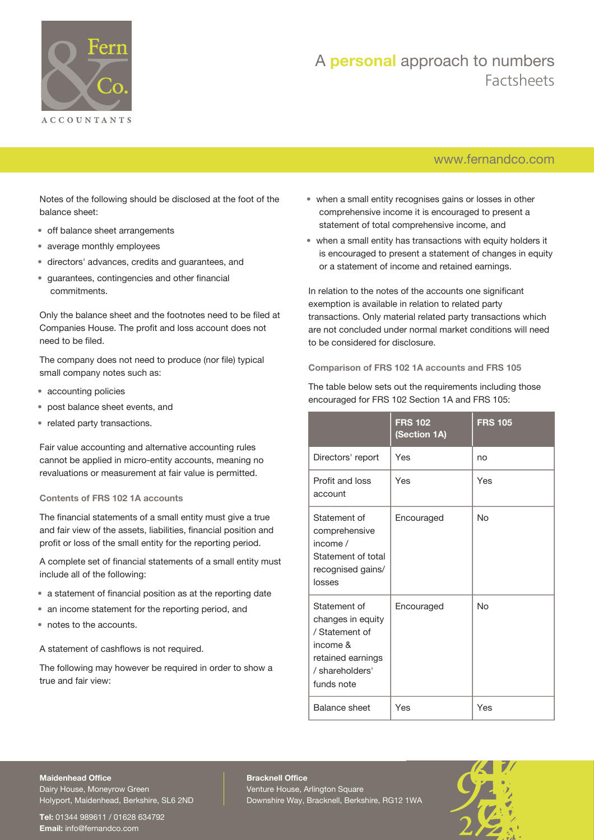

## A **personal** approach to numbers Factsheets

## [www.fernandco.com](http://www.fernandco.com)

Notes of the following should be disclosed at the foot of the balance sheet:

- off balance sheet arrangements
- average monthly employees
- directors' advances, credits and guarantees, and
- guarantees, contingencies and other financial commitments.

Only the balance sheet and the footnotes need to be filed at Companies House. The profit and loss account does not need to be filed.

The company does not need to produce (nor file) typical small company notes such as:

- accounting policies
- post balance sheet events, and
- related party transactions.

Fair value accounting and alternative accounting rules cannot be applied in micro-entity accounts, meaning no revaluations or measurement at fair value is permitted.

#### **Contents of FRS 102 1A accounts**

The financial statements of a small entity must give a true and fair view of the assets, liabilities, financial position and profit or loss of the small entity for the reporting period.

A complete set of financial statements of a small entity must include all of the following:

- a statement of financial position as at the reporting date
- an income statement for the reporting period, and
- notes to the accounts.

A statement of cashflows is not required.

The following may however be required in order to show a true and fair view:

- when a small entity recognises gains or losses in other comprehensive income it is encouraged to present a statement of total comprehensive income, and
- when a small entity has transactions with equity holders it is encouraged to present a statement of changes in equity or a statement of income and retained earnings.

In relation to the notes of the accounts one significant exemption is available in relation to related party transactions. Only material related party transactions which are not concluded under normal market conditions will need to be considered for disclosure.

**Comparison of FRS 102 1A accounts and FRS 105**

The table below sets out the requirements including those encouraged for FRS 102 Section 1A and FRS 105:

|                                                                                                                       | <b>FRS 102</b><br>(Section 1A) | <b>FRS 105</b> |
|-----------------------------------------------------------------------------------------------------------------------|--------------------------------|----------------|
| Directors' report                                                                                                     | Yes                            | no             |
| Profit and loss<br>account                                                                                            | Yes                            | Yes            |
| Statement of<br>comprehensive<br>income $/$<br>Statement of total<br>recognised gains/<br>losses                      | Encouraged                     | No             |
| Statement of<br>changes in equity<br>/ Statement of<br>income &<br>retained earnings<br>/ shareholders'<br>funds note | Encouraged                     | No             |
| <b>Balance sheet</b>                                                                                                  | Yes                            | Yes            |

### **Maidenhead Office**

Dairy House, Moneyrow Green Holyport, Maidenhead, Berkshire, SL6 2ND

**Tel:** 01344 989611 / 01628 634792 **Email:** [info@fernandco.com](mailto:info@fernandco.com)

**Bracknell Office** Venture House, Arlington Square Downshire Way, Bracknell, Berkshire, RG12 1WA